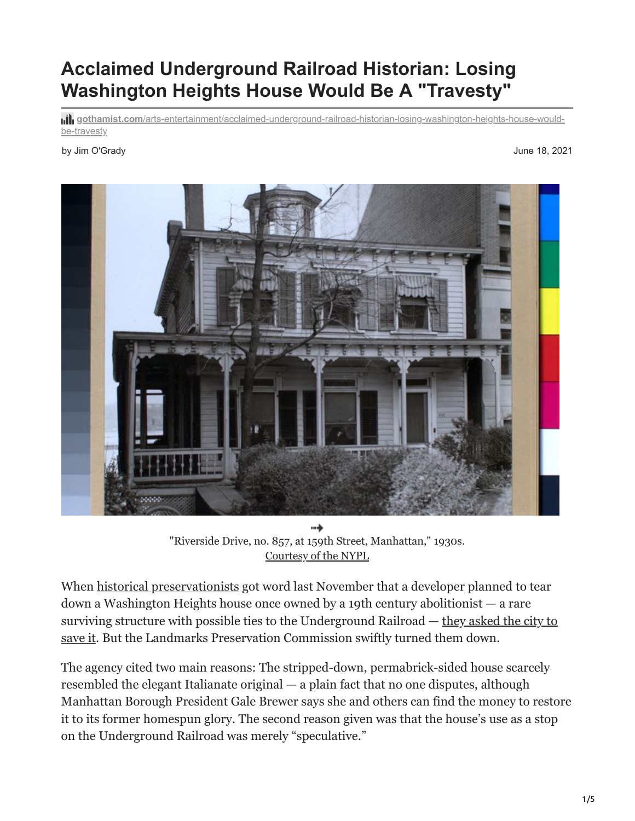# **Acclaimed Underground Railroad Historian: Losing Washington Heights House Would Be A "Travesty"**

**gothamist.com**[/arts-entertainment/acclaimed-underground-railroad-historian-losing-washington-heights-house-would](https://gothamist.com/arts-entertainment/acclaimed-underground-railroad-historian-losing-washington-heights-house-would-be-travesty)be-travesty

#### by Jim O'Grady June 18, 2021



"Riverside Drive, no. 857, at 159th Street, Manhattan," 1930s. [Courtesy of the NYPL](https://digitalcollections.nypl.org/items/510d47df-335a-a3d9-e040-e00a18064a99)

When [historical preservationists](https://www.saveriverside.org/) got word last November that a developer planned to tear down a Washington Heights house once owned by a 19th century abolitionist — a rare surviving structure with possible ties to the Underground Railroad  $-$  they asked the city to save it. But the Landmarks Preservation Commission swiftly turned them down.

The agency cited two main reasons: The stripped-down, permabrick-sided house scarcely resembled the elegant Italianate original — a plain fact that no one disputes, although Manhattan Borough President Gale Brewer says she and others can find the money to restore it to its former homespun glory. The second reason given was that the house's use as a stop on the Underground Railroad was merely "speculative."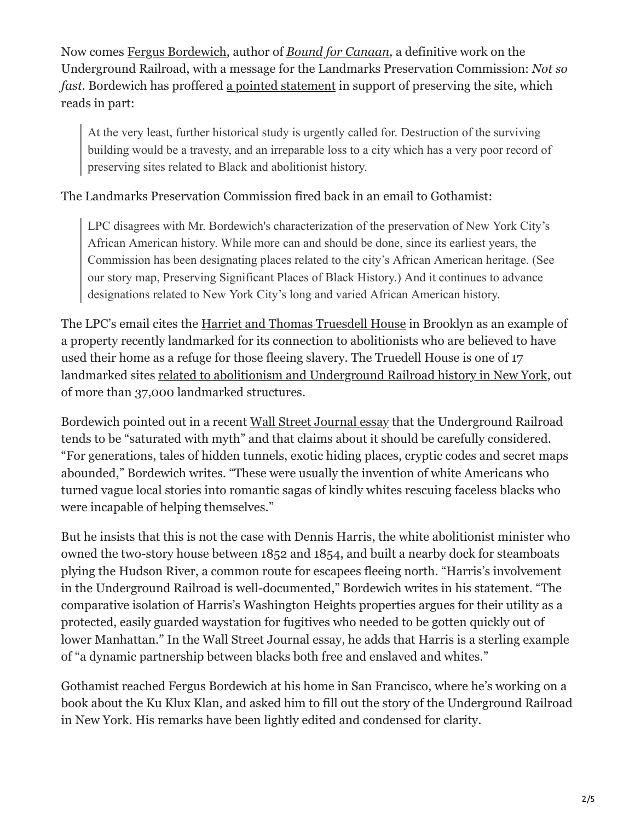Now comes [Fergus Bordewich](http://www.fergusbordewich.com/fergus.html), author of *[Bound for Canaan,](https://www.harpercollins.com/products/bound-for-canaan-fergus-bordewich?variant=32207809216546)* a definitive work on the Underground Railroad, with a message for the Landmarks Preservation Commission: *Not so fast.* Bordewich has proffered [a pointed statement](https://5cb3a867-6c21-43d9-9c72-b7c93eeb4230.filesusr.com/ugd/9a9a68_d71f4d20fb2b444fa84821cc01310db6.pdf) in support of preserving the site, which reads in part:

At the very least, further historical study is urgently called for. Destruction of the surviving building would be a travesty, and an irreparable loss to a city which has a very poor record of preserving sites related to Black and abolitionist history.

The Landmarks Preservation Commission fired back in an email to Gothamist:

LPC disagrees with Mr. Bordewich's characterization of the preservation of New York City's African American history. While more can and should be done, since its earliest years, the Commission has been designating places related to the city's African American heritage. (See our story map, Preserving Significant Places of Black History.) And it continues to advance designations related to New York City's long and varied African American history.

The LPC's email cites the [Harriet and Thomas Truesdell House](https://gothamist.com/news/city-landmarks-downtown-brooklyn-rowhouse-believed-be-underground-railroad-stop) in Brooklyn as an example of a property recently landmarked for its connection to abolitionists who are believed to have used their home as a refuge for those fleeing slavery. The Truedell House is one of 17 landmarked sites [related to abolitionism and Underground Railroad history in New York,](https://storymaps.arcgis.com/stories/69963f59071f4ecca36e19a4a64f875c) out of more than 37,000 landmarked structures.

Bordewich pointed out in a recent [Wall Street Journal essay](https://www.wsj.com/articles/the-underground-railroad-was-no-fantasy-11622825048) that the Underground Railroad tends to be "saturated with myth" and that claims about it should be carefully considered. "For generations, tales of hidden tunnels, exotic hiding places, cryptic codes and secret maps abounded," Bordewich writes. "These were usually the invention of white Americans who turned vague local stories into romantic sagas of kindly whites rescuing faceless blacks who were incapable of helping themselves."

But he insists that this is not the case with Dennis Harris, the white abolitionist minister who owned the two-story house between 1852 and 1854, and built a nearby dock for steamboats plying the Hudson River, a common route for escapees fleeing north. "Harris's involvement in the Underground Railroad is well-documented," Bordewich writes in his statement. "The comparative isolation of Harris's Washington Heights properties argues for their utility as a protected, easily guarded waystation for fugitives who needed to be gotten quickly out of lower Manhattan." In the Wall Street Journal essay, he adds that Harris is a sterling example of "a dynamic partnership between blacks both free and enslaved and whites."

Gothamist reached Fergus Bordewich at his home in San Francisco, where he's working on a book about the Ku Klux Klan, and asked him to fill out the story of the Underground Railroad in New York. His remarks have been lightly edited and condensed for clarity.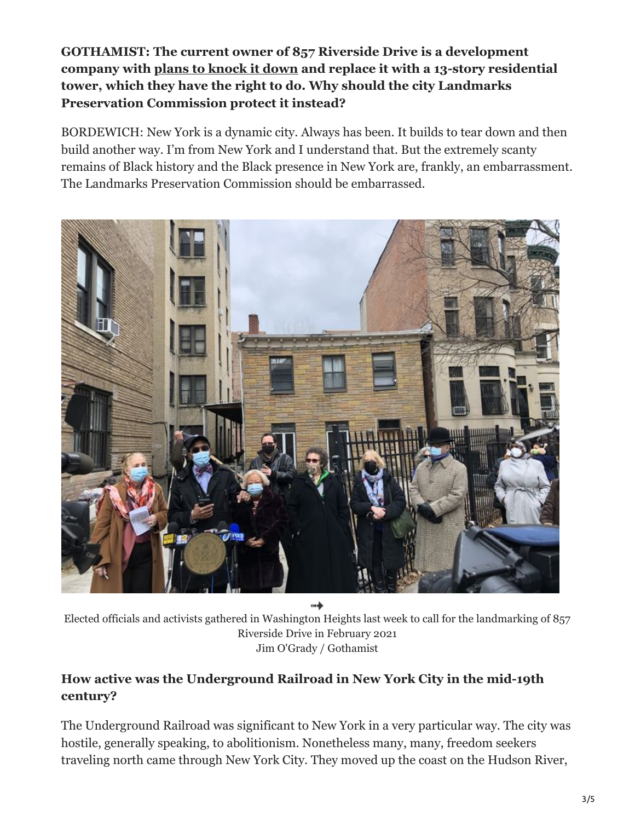**GOTHAMIST: The current owner of 857 Riverside Drive is a development company with [plans to knock it down](https://gothamist.com/arts-entertainment/lawmakers-push-landmarking-possible-underground-railroad-site-riverside-drive) and replace it with a 13-story residential tower, which they have the right to do. Why should the city Landmarks Preservation Commission protect it instead?** 

BORDEWICH: New York is a dynamic city. Always has been. It builds to tear down and then build another way. I'm from New York and I understand that. But the extremely scanty remains of Black history and the Black presence in New York are, frankly, an embarrassment. The Landmarks Preservation Commission should be embarrassed.



→

Elected officials and activists gathered in Washington Heights last week to call for the landmarking of 857 Riverside Drive in February 2021 Jim O'Grady / Gothamist

# **How active was the Underground Railroad in New York City in the mid-19th century?**

The Underground Railroad was significant to New York in a very particular way. The city was hostile, generally speaking, to abolitionism. Nonetheless many, many, freedom seekers traveling north came through New York City. They moved up the coast on the Hudson River,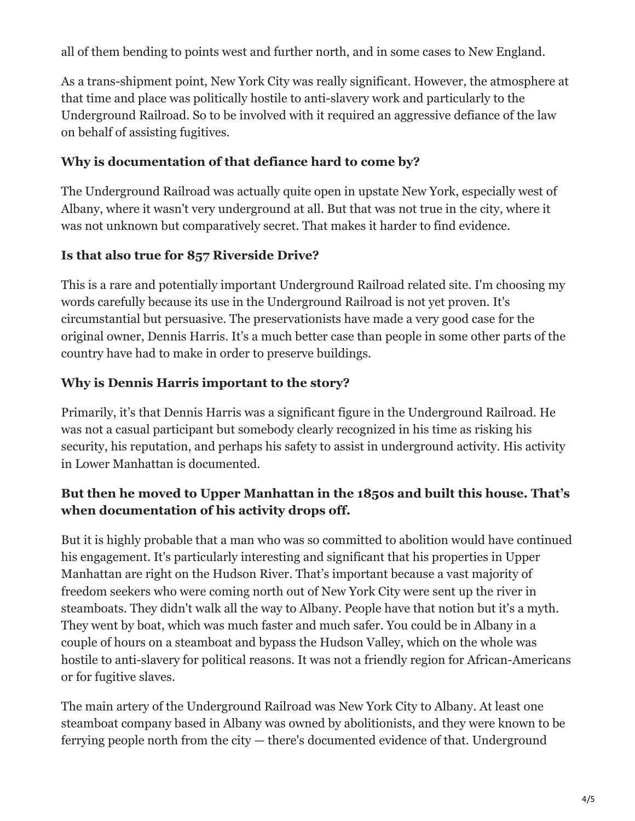all of them bending to points west and further north, and in some cases to New England.

As a trans-shipment point, New York City was really significant. However, the atmosphere at that time and place was politically hostile to anti-slavery work and particularly to the Underground Railroad. So to be involved with it required an aggressive defiance of the law on behalf of assisting fugitives.

#### **Why is documentation of that defiance hard to come by?**

The Underground Railroad was actually quite open in upstate New York, especially west of Albany, where it wasn't very underground at all. But that was not true in the city, where it was not unknown but comparatively secret. That makes it harder to find evidence.

# **Is that also true for 857 Riverside Drive?**

This is a rare and potentially important Underground Railroad related site. I'm choosing my words carefully because its use in the Underground Railroad is not yet proven. It's circumstantial but persuasive. The preservationists have made a very good case for the original owner, Dennis Harris. It's a much better case than people in some other parts of the country have had to make in order to preserve buildings.

# **Why is Dennis Harris important to the story?**

Primarily, it's that Dennis Harris was a significant figure in the Underground Railroad. He was not a casual participant but somebody clearly recognized in his time as risking his security, his reputation, and perhaps his safety to assist in underground activity. His activity in Lower Manhattan is documented.

# **But then he moved to Upper Manhattan in the 1850s and built this house. That's when documentation of his activity drops off.**

But it is highly probable that a man who was so committed to abolition would have continued his engagement. It's particularly interesting and significant that his properties in Upper Manhattan are right on the Hudson River. That's important because a vast majority of freedom seekers who were coming north out of New York City were sent up the river in steamboats. They didn't walk all the way to Albany. People have that notion but it's a myth. They went by boat, which was much faster and much safer. You could be in Albany in a couple of hours on a steamboat and bypass the Hudson Valley, which on the whole was hostile to anti-slavery for political reasons. It was not a friendly region for African-Americans or for fugitive slaves.

The main artery of the Underground Railroad was New York City to Albany. At least one steamboat company based in Albany was owned by abolitionists, and they were known to be ferrying people north from the city — there's documented evidence of that. Underground